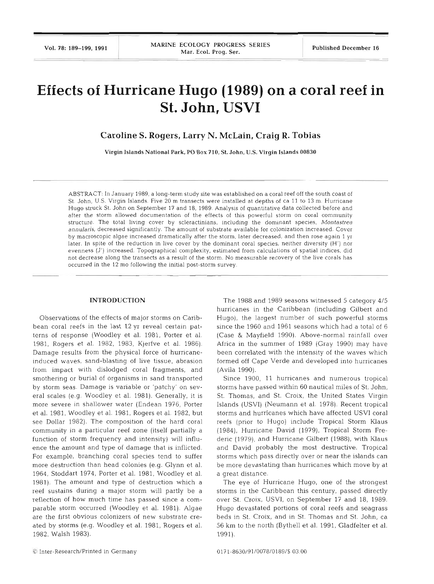# **Effects of Hurricane Hugo (1989) on a coral reef in St. John, USVI**

## **Caroline S. Rogers, Larry N. McLain, Craig R. Tobias**

Virgin Islands National Park. **PO** Box **710, St.** John, **U.S.** Virgin Islands **<sup>00830</sup>**

ABSTRACT: In January 1989, a long-term study site was established on a coral reef off the south coast of St. John, U.S. Virgin Islands. Five 20 m transects were installed at depths of ca 11 to 13 m. Hurricane Hugo struck St. John on September 17 and 18, 1989 Analysis of quantitative data collected before and after the storm allowed documentation of the effects of this powerful storm on coral community structure. The total living cover by scleractinians, including the dominant species, Montastrea annularis, decreased significantly. The amount of substrate available for colonization increased. Cover by macroscopic algae increased dramatically after the storm, later decreased, and then rose again 1 yr later. In spite of the reduction in live cover by the dominant coral species, neither diversity (H') nor evenness (J') increased. Topographical complexity, estimated from calculations of spatial indices, did not decrease along the transects as a result of the storm. No measurable recovery of the live corals has occurred in the 12 mo following the initial post-storm survey.

### **INTRODUCTION**

Observations of the effects of major storms on Canbbean coral reefs in the last 12 yr reveal certain patterns of response (Woodley et al. 1981, Porter et al. 1981, Rogers et al. 1982, 1983, Kjerfve et al. 1986). Damage results from the physical force of hurricaneinduced waves, sand-blasting of live tissue, abrasion from impact with dislodged coral fragments, and smothering or burial of organisms in sand transported by storm seas. Damage is variable or 'patchy' on several scales (e.g. Woodley et al. 1981). Generally, it is more severe in shallower water (Endean 1976, Porter et al. 1981, Woodley et al. 1981, Rogers et al. 1982, but see Dollar 1982). The composition of the hard coral community in a particular reef zone (itself partially a function of storm frequency and intensity) will influence the amount and type of damage that is inflicted. For example, branching coral species tend to suffer more destruction than head colonies (e.g. Glynn et al. 1964, Stoddart 1974, Porter et al. 1981, Woodley et al. 1981). The amount and type of destruction which a reef sustains during a major storm will partly be a reflection of how much time has passed since a comparable storm occurred (Woodley et al. 1981). Algae are the first obvious colonizers of new substrate created by storms (e.g. Woodley et al. 1981, Rogers et al. 1982, Walsh 1983).

The 1988 and 1989 seasons witnessed 5 category 4/5 hurricanes in the Caribbean (including Gilbert and Hugo), the largest number of such powerful storms since the 1960 and 1961 seasons which had a total of 6 (Case & Mayfield 1990). Above-normal rainfall over Africa in the summer of 1989 (Gray 1990) may have been correlated with the intensity of the waves which formed off Cape Verde and developed into hurricanes (Avila 1990).

Since 1900, 11 hurricanes and numerous tropical storms have passed within 60 nautical miles of St. John, St. Thomas, and St. Croix, the United States Virgin Islands (USVI) (Neumann et al. 1978). Recent tropical storms and hurricanes which have affected USVI coral reefs (prior to Hugo) include Tropical Storm Klaus (1984), Hurricane David (1979), Tropical Storm Frederic (1979), and Hurricane Gilbert (1988), with Klaus and David probably the most destructive. Tropical storms which pass directly over or near the islands can be more devastating than hurricanes which move by at a great distance.

The eye of Hurricane Hugo, one of the strongest storms in the Caribbean this century, passed directly over St. Croix, USVI, on September 17 and 18, 1989. Hugo devastated portions of coral reefs and seagrass beds in St. Croix, and in St. Thomas and St. John, ca 56 km to the north (Bythell et al. 1991, Gladfelter et al. 1991).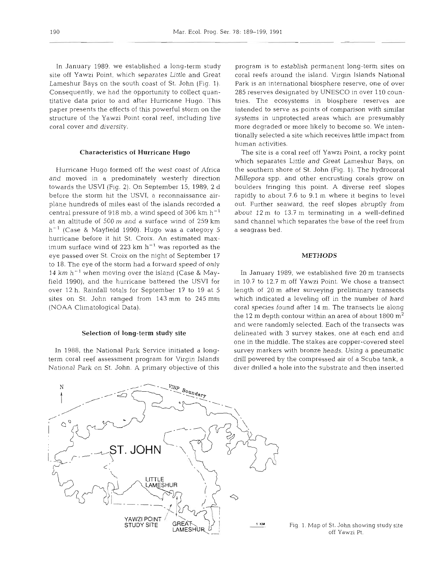In January 1989, we established a long-term study site off Yawzi Point, which separates Little and Great Lameshur Bays on the south coast of St. John (Fig. 1). Consequently, we had the opportunity to collect quantitative data prior to and after Hurricane Hugo. This paper presents the effects of this powerful storm on the structure of the Yawzi Point coral reef, including live coral cover and diversity.

### Characteristics **of** Hurricane **Hugo**

Hurricane Hugo formed off the west coast of Africa and moved in a predominately westerly direction towards the USVI (Fig. 2). On September 15, 1989, 2 d before the storm hit the USVI, a reconnaissance airplane hundreds of miles east of the islands recorded a central pressure of 918 mb, a wind speed of 306  $km h^{-1}$ at an altitude of 500 ni and a surface wind of 259 km  $h^{-1}$  (Case & Mayfield 1990). Hugo was a category 5 hurricane before it hit St. Croix. An estimated maximum surface wind of 223 km  $h^{-1}$  was reported as the eye passed over St. Croix on the night of September 17 to 18. The eye of the storm had a forward speed of only 14 km h-' when moving over the island (Case **81** Mayfield 1990), and the hurricane battered the USVI for over 12 h. Rainfall totals for September 17 to 19 at 5 sites on St. John ranged from 143 mm to 245 mm (NOAA Climatological Data).

### Selection of long-term study site

In 1988, the National Park Service initiated a longterm coral reef assessment program for Virgin Islands National Park on St. John. A primary objective of this program is to establish permanent long-term sites on coral reefs around the island. Virgin Islands National Park is an international biosphere reserve, one of over 285 reserves designated by UNESCO in over 110 countries. The ecosystems in biosphere reserves are intended to serve as points of comparison with similar systems in unprotected areas which are presumably more degraded or more likely to become so. We intentionally selected a site which receives little impact from human activities.

The site is a coral reef off Yawzi Point, a rocky point which separates Little and Great Lameshur Bays, on the southern shore of St. John (Fig. 1). The hydrocoral Millepora spp. and other encrusting corals grow on boulders fringing this point. A diverse reef slopes rapidly to about 7.6 to 9.1 m where it begins to level out. Further seaward, the reef slopes abruptly from about 12 m to 13.7 m terminating in a well-defined sand channel which separates the base of the reef from a seagrass bed.

### **METHODS**

In January 1989, we established five 20 m transects in 10.7 to 12.7 m off Yawzi Point. We chose a transect length of 20 m after surveying preliminary transects which indicated a leveling off in the number of hard coral species found after 14 m. The transects lie along the 12 m depth contour within an area of about  $1800 \text{ m}^2$ and were randomly selected. Each of the transects was delineated with 3 survey stakes, one at each end and one in the middle. The stakes are copper-covered steel survey markers with bronze heads. Using a pneumatic drill powered by the compressed air of a Scuba tank, a diver drilled a hole into the substrate and then inserted



Fig. 1. Map of St. John showing study site off Yawzi Pt.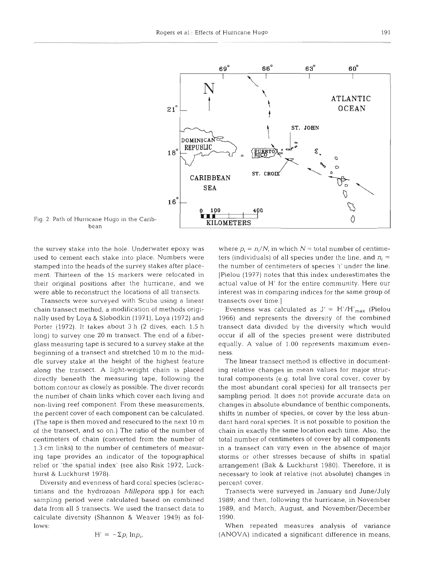

Fig. 2. Path of Hurricane Hugo in the Caribbean

the survey stake into the hole. Underwater epoxy was used to cement each stake into place. Numbers were stamped into the heads of the survey stakes after placement. Thirteen of the 15 markers were relocated in their original positions after the hurricane, and we were able to reconstruct the locations of all transects.

Transects were surveyed with Scuba using a linear chain transect method, a modification of methods originally used by Loya & Slobodkin (19?1), Loya (1972) and Porter (1972). It takes about *3* h (2 dives, each 1.5 h long) to survey one 20 m transect. The end of a fiberglass measuring tape is secured to a survey stake at the beginning of a transect and stretched 10 m to the middle survey stake at the height of the highest feature along the transect. A light-weight chain is placed directly beneath the measuring tape, following the bottom contour as closely as possible. The diver records the number of chain links which cover each living and non-living reef component. From these measurements, the percent cover of each component can be calculated. (The tape is then moved and resecured to the next 10 m of the transect, and so on.) The ratio of the number of centimeters of chain (converted from the number of 1.3 cm links) to the number of centimeters of measuring tape provides an indicator of the topographical relief or 'the spatial index' (see also Risk 1972, Luckhurst & Luckhurst 1978).

Diversity and evenness of hard coral species (scleractinians and the hydrozoan *Millepora* spp.) for each sampling period were calculated based on combined data from all 5 transects. We used the transect data to calculate diversity (Shannon & Weaver 1949) as follows:

$$
H' = -\Sigma p_i \ln p_i,
$$

where  $p_i = n_i/N$ , in which  $N =$  total number of centimeters (individuals) of all species under the line, and  $n_i =$ the number of centimeters of species  $i'$  under the line. [Pielou (1977) notes that this index underestimates the actual value of H' for the entire community. Here our interest was in comparing indices for the same group of transects over time.]

Evenness was calculated as  $J' = H'/H'_{max}$  (Pielou 1966) and represents the diversity of the combined transect data divided by the diversity which would occur if all of the species present were distributed equally. A value of 1.00 represents maximum evenness.

The linear transect method is effective in documenting relative changes in mean values for major structural components (e.g. total live coral cover, cover by the most abundant coral species) for all transects per sampling period. It does not provide accurate data on changes in absolute abundance of benthic components, shifts in number of species, or cover by the less abundant hard coral species. It is not possible to position the chain in exactly the same location each time. Also, the total number of centimeters of cover by all components in a transect can vary even in the absence of major storms or other stresses because of shifts in spatial arrangement (Bak & Luckhurst 1980). Therefore, it is necessary to look at relative (not absolute) changes in percent cover.

Transects were surveyed in January and June/July 1989; and then, following the hurricane, in November 1989, and March, August, and November/December 1990.

When repeated measures analysis of variance (ANOVA) indicated a significant difference in means,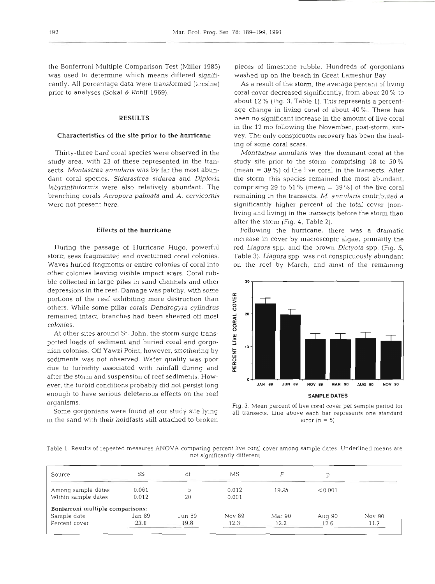was used to determine which means differed signifi- washed up on the beach in Great Lameshur Bay. cantly. All percentage data were transformed (arcsine) As a result of the storm, the average percent of living prior to analyses (Sokal & Rohlf 1969). coral cover decreased significantly, from about 20 % to

study area, with 23 of these represented in the tran- study site prior to the storm, comprising 18 to 50 **%**  sects. *Montastrea annularis* was by far the most abun- (mean = 39%) of the live coral in the transects. After dant coral species. *Siderastrea siderea* and *Diploria* the storm, this species remained the most abundant, *labyrinthiformis* were also relatively abundant. The comprising 29 to 61 % (mean = 39 %) of the live coral branching corals *Acropora palmata* and *A. cervicornis* remaining in the transects. *M. annularis* contributed a were not present here.  $\qquad \qquad$  significantly higher percent of the total cover (non-

storm seas fragmented and overturned coral colonies. Table 3). *Liagora* spp. was not conspicuously abundant Waves hurled fragments or entire colonies of coral into on the reef by March, and most of the remaining other colonies leaving visible impact scars. Coral rubble collected in large piles in sand channels and other **<sup>30</sup>** depressions in the reef. Damage was patchy, with some<br>portions of the reef exhibiting more destruction than<br>others. While some pillar corals *Dendrogyra cylindrus*<br>remained intact, branches had been sheared off most<br>coloni portions of the reef exhibiting more destruction than others. While some pillar corals *Dendrogyra cylindrus* g remained intact, branches had been sheared off most < **acolonies. a**colonies **a**colonies **a**colonies **a**colonies **a**colonies **acolonies acolonies acolonies acolonies acolonies acolonies acolonies acolonies acolonies acolonies acolonies acolonies acol** 

At other sites around St. John, the storm surge transported loads of sediment and buried coral and gorgo- *5*  nian colonies. Off Yawzi Point, however, smothering by **5**  sediments was not observed. Water quality was poor due to turbidity associated with rainfall during and after the storm and suspension of reef sediments. Howenough to have serious deleterious effects on the reef **SAMPLE DATES** 

in the sand with their holdfasts still attached to broken error  $(n = 5)$ 

the Bonferroni Multiple Comparison Test (Miller 1985) pieces of limestone rubble. Hundreds of gorgonians

about 12 % (Fig. 3, Table 1). This represents a percentage change in living coral of about 40 **%.** There has **RESULTS** been no significant increase in the amount of live coral in the 12 mo following the November, post-storm, sur-**Characteristics of the site prior to the hurricane** vey. The only conspicuous recovery has been the healing of some coral scars.

Thirty-three hard coral species were observed in the *Moritastrea annulans* was the dominant coral at the living and living) in the transects before the storm than after the storm (Fig. 4, Table 2).

**Effects of the hurricane** Following the hurricane, there was a dramatic increase in cover by macroscopic algae, primarily the During the passage of Hurricane Hugo, powerful red *Liagora* spp. and the brown *Dictyota* spp. (Fig. 5,



organisms.<br>Some gorgonians were found at our study site lying all transects. Line above each bar represents one standard

Table 1. Results of repeated measures ANOVA comparing percent live coral cover among sample dates Underlined means are not significantly different

| Source                           | SS     | df     | МS     |        |         |        |
|----------------------------------|--------|--------|--------|--------|---------|--------|
| Among sample dates               | 0.061  |        | 0.012  | 19.95  | < 0.001 |        |
| Within sample dates              | 0.012  | 20     | 0.001  |        |         |        |
| Bonferroni multiple comparisons: |        |        |        |        |         |        |
| Sample date                      | Jan 89 | Jun 89 | Nov 89 | Mar 90 | Aug 90  | Nov 90 |
| Percent cover                    | 23.1   | 19.8   | 12.3   | 12.2   | 12.6    | 11.7   |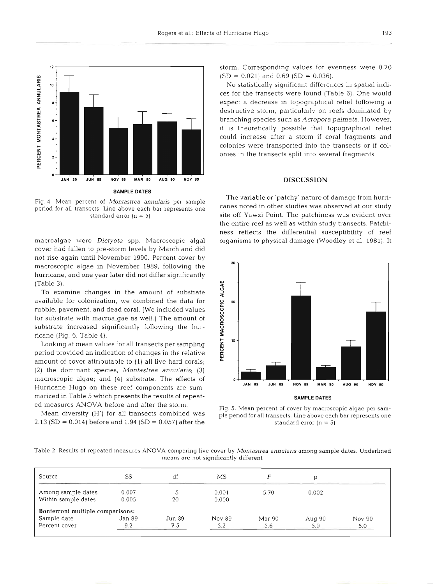

period for all transects. Line above each bar represents one

cover had fallen to pre-storm levels by March and did not rise again until November 1990. Percent cover by macroscopic algae in November 1989, following the hurricane, and one year later did not differ significantly (Table 3).

To examine changes in the amount of substrate available for colonization, we combined the data for **2 20**  rubble, pavement, and dead coral. (We included values for substrate with macroalgae as well.) The amount of substrate increased significantly following the hurricane (Fig. 6, Table 4). **<sup>B</sup>**

Looking at mean values for all transects per sampling **leafs** to period provided an indication of changes in the relative amount of cover attributable to (1) all live hard corals; (2) the dominant species, *Montastrea annularis;* (3) macroscopic algae; and (4) substrate. The effects of **<sup>o</sup> JAN 89 JUN 89 NOV 89 MAR 90 AUG 90 NOV 90** Hurricane Hugo on these reef components are summarized in Table 5 which presents the results of repeat- **SAMPLE DATES SAMPLE DATES** 

2.13 (SD = 0.014) before and 1.94 (SD = 0.057) after the standard error  $(n = 5)$ 

storm. Corresponding values for evenness were 0.70  $(SD = 0.021)$  and 0.69  $(SD = 0.036)$ .

No statistically significant differences in spatial indices for the transects were found (Table 6). One would expect a decrease in topographical relief following a destructive storm, particularly on reefs dominated by branching species such as *Acropora palmata.* However, it is theoretically possible that topographical relief could increase after a storm if coral fragments and colonies were transported into the transects or if colonies in the transects split into several fragments.

### **DISCUSSION**

The variable or 'patchy' nature of damage from hurri- Fig. 4 Mean percent of *Montastrea annularis* per sample standard error (n = 5) site off Yawzi Point. The patchiness was evident over the entire reef as well as within study transects. Patchiness reflects the differential susceptibility of reef macroalgae were *Dictyota* spp. Macroscopic algal organisms to physical damage (Woodley et al. 1981). It



ed measures ANOVA before and after the storm.<br>Mean diversity (H') for all transects combined was a plenatiof or all transects Line above each bet tentescopic one ple period for all transects. Line above each bar represents one.

Table 2. Results of repeated measures ANOVA comparing live cover by *Montastrea annularis* among sample dates. Underlined means are not significantly different

| Source                           | SS     | df     | МS     |        |          |        |
|----------------------------------|--------|--------|--------|--------|----------|--------|
| Among sample dates               | 0.007  |        | 0.001  | 5.70   | 0.002    |        |
| Within sample dates              | 0.005  | 20     | 0.000  |        |          |        |
| Bonferroni multiple comparisons: |        |        |        |        |          |        |
| Sample date                      | Jan 89 | Jun 89 | Nov 89 | Mar 90 | Aug $90$ | Nov 90 |
| Percent cover                    | 9.2    | 7.5    | 5.2    | 5.6    | 5.9      | 5.0    |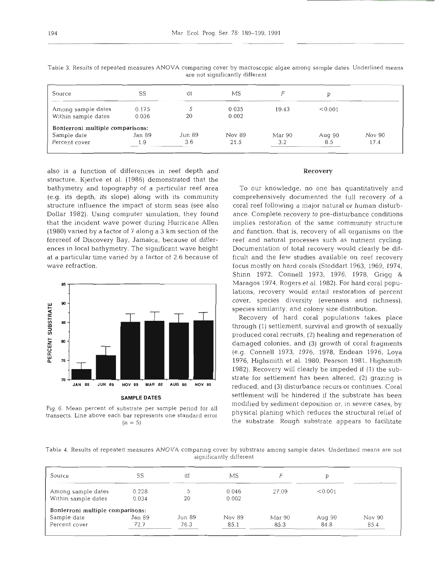| Source                           | SS     | df      | МS     |        |         |        |
|----------------------------------|--------|---------|--------|--------|---------|--------|
| Among sample dates               | 0.175  |         | 0.035  | 19.43  | < 0.001 |        |
| Within sample dates              | 0.036  | 20      | 0.002  |        |         |        |
| Bonferroni multiple comparisons: |        |         |        |        |         |        |
| Sample date                      | Jan 89 | Jun 89. | Nov 89 | Mar 90 | Aug 90  | Nov 90 |
| Percent cover                    | 1.9    | 3.6     | 21.5   | 3.2    | 8.5     | 17.4   |

Table 3. Results of repeated measures ANOVA comparing cover by macroscopic algae among sample dates. Underlined means are not significantly different

also is a function of differences in reef depth and structure. Kjerfve et al. (1986) demonstrated that the bathymetry and topography of a particular reef area (e.g. its depth, its slope) along with its community structure influence the impact of storm seas (see also Dollar 1982). Using computer simulation, they found that the incident wave power during Hurricane Allen (1980) varied by a factor of 7 along a *3* km section of the forereef of Discovery Bay, Jamaica, because of differences in local bathymetry. The significant wave height at a particular time varied by a factor of 2.6 because of wave refraction.



transects. Line above each bar represents one standard error

### **Recovery**

To our knowledge, no one has quantitatively and comprehensively documented the full recovery of a coral reef following a major natural or human disturbance. Complete recovery to pre-disturbance conditions implies restoration of the same community structure and function, that is, recovery of all organisms on the reef and natural processes such as nutrient cycling. Documentation of total recovery would clearly be difficult and the few studies available on reef recovery focus mostly on hard corals (Stoddart 1963, 1969, 1974, Shinn 1972, Connell 1973, 1976, 1978, Grigg & Maragos 1974, Rogers et al. 1982). For hard coral populations, recovery would entail restoration of percent cover, species diversity (evenness and richness), species similarity, and colony size distribution.

Recovery of hard coral populations takes place through (1) settlement, survival and growth of sexually produced coral recruits, (2) healing and regeneration of damaged colonies, and **(3)** growth of coral fragments (e.g. Connell 1973, 1976, 1978, Endean 1976, Loya 1976, Highsmith et al. 1980, Pearson 1981, Highsmith 1982). Recovery will clearly be impeded if (1) the substrate for settlement has been altered, (2) qrazinq is .. reduced, and  $(3)$  disturbance recurs or continues. Coral **SAMPLE DATES** SEttlement will be hindered if the substrate has been Fig. 6. Mean percent of substrate per sample period for all modified by sediment deposition or, in severe cases, by<br>transects, Line above each har represents one standard error physical planing which reduces the structural  $(n = 5)$  the substrate. Rough substrate appears to facilitate

Table 4. Results of repeated measures ANOVA comparing cover by substrate among sample dates. Underhned means are not significantly different

| Source                           | SS     | dt     | МS     |        |         |        |
|----------------------------------|--------|--------|--------|--------|---------|--------|
| Among sample dates               | 0.228  |        | 0.046  | 27.09  | < 0.001 |        |
| Within sample dates              | 0.034  | 20     | 0.002  |        |         |        |
| Bonferroni multiple comparisons: |        |        |        |        |         |        |
| Sample date                      | Jan 89 | Jun 89 | Nov 89 | Mar 90 | Aug 90  | Nov 90 |
| Percent cover                    | 72.7   | 76.3   | 85.1   | 85.3   | 84.8    | 85.4   |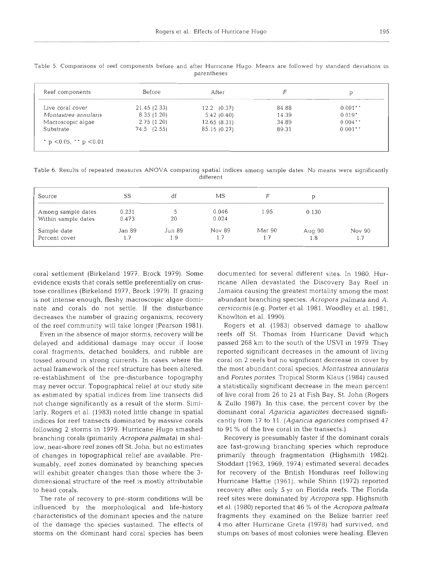| Reef components      | Before          | After           |       |                      |
|----------------------|-----------------|-----------------|-------|----------------------|
| Live coral cover     | 21.45 (2.33)    | $12.2$ $(0.37)$ | 84.88 | 0.001                |
| Montastrea annularis | 8.35(1.20)      | 5.42(0.40)      | 14.39 | $0.019$ <sup>*</sup> |
| Macroscopic algae    | 2.75(1.20)      | 12.65(8.31)     | 34.89 | 0.004                |
| Substrate            | $74.5$ $(2.55)$ | 85.15 (0.27)    | 89.31 | 0.001                |

Table 5 Comparisons of reef components before and after Hurricane Hugo. Means are followed by standard deviations in parentheses

Table 6. Results of repeated measures **ANOVA** comparing spatial indices among sample dates. No means were significantly different

| Source                                    | SS             | df            | МS             |               |               |               |
|-------------------------------------------|----------------|---------------|----------------|---------------|---------------|---------------|
| Among sample dates<br>Within sample dates | 0.231<br>0.473 | 20            | 0.046<br>0.024 | 1.95          | 0.130         |               |
| Sample date<br>Percent cover              | Jan 89<br>1.7  | Jun 89<br>1.9 | Nov 89<br>1.7  | Mar 90<br>1.7 | Aug 90<br>1.8 | Nov 90<br>1.7 |

coral settlement (Birkeland 1977, Brock 1979). Some evidence exists that corals settle preferentially on crustose corallines (Birkeland 1977, Brock 1979). If grazing is not intense enough, fleshy macroscopic algae dominate and corals do not settle. If the disturbance decreases the number of grazing organisms, recovery of the reef community will take longer (Pearson 1981).

Even in the absence of major storms, recovery will be delayed and additional damage may occur if loose coral fragments, detached boulders, and rubble are tossed around in strong currents. In cases where the actual framework of the reef structure has been altered, re-establishment of the pre-disturbance topography may never occur. Topographical relief at our study site as estimated by spatial indices from line transects did not change significantly as a result of the storm. Similarly, Rogers et al. (1983) noted little change in spatial indices for reef transects dominated by massive corals following 2 storms in 1979. Hurricane Hugo smashed branching corals (primarily *Acropora palrnata)* in shallow, near-shore reef zones off St. John, but no estimates of changes in topographical relief are available. Presumably, reef zones dominated by branching species will exhibit greater changes than those where the *3*  dimensional structure of the reef is mostly attributable to head corals.

The rate of recovery to pre-storm conditions will be influenced by the morphological and life-history characteristics of the dominant species and the nature of the damage the species sustained. The effects of storms on the dominant hard coral species has been documented for several different sites. In 1980, Hurricane Allen devastated the Discovery Bay Reef in Jamaica causing the greatest mortality among the most abundant branching species, *Acropora palmata* and *A. cervicornis* (e.g. Porter et al. 1981, Woodley et al. 1981, Knowlton et al. 1990).

Rogers et al. (1983) observed damage to shallow reefs off St. Thomas from Hurricane David which passed 268 km to the south of the USVI in 1979. They reported significant decreases in the amount of living coral on 2 reefs but no significant decrease in cover by the most abundant coral species, *Montastrea annularis*  and *Porites porites.* Tropical Storm Klaus (1984) caused a statistically significant decrease in the mean percent of live coral from 26 to 21 at Fish Bay, St. John (Rogers & Zullo 1987). In this case, the percent cover by the dominant coral *Agaricia agaricites* decreased significantly from 17 to 11. *(Agaricia agaricites* comprised 47 to 91 % of the live coral in the transects.)

Recovery is presumably faster if the dominant corals are fast-growing branching species which reproduce primarily through fragmentation (Highsmith 1982). Stoddart (1963, 1969, 1974) estimated several decades for recovery of the British Honduras reef following Hurricane Hattie (1961), while Shinn (1972) reported recovery after only *5* yr on Florida reefs. The Florida reef sites were dominated by *Acropora* spp. Highsmith et al. (1980) reported that 46 % of the *Acropora palmata* fragments they examined on the Belize barrier reef 4 mo after Hurricane Greta (1978) had survived, and stumps on bases of most colonies were healing. Eleven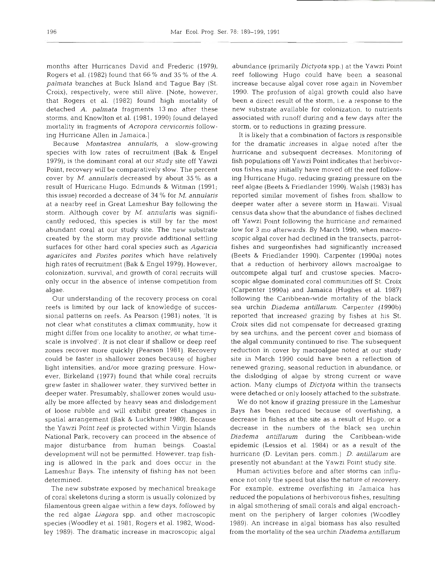months after Hurricanes David and Frederic (1979), Rogers et al. (1982) found that 66% and 35% of the A. *palmata* branches at Buck Island and Tague Bay (St. Croix), respectively, were still alive. [Note, however, that Rogers et al. (1982) found high mortality of detached A. *palmata* fragments 13 mo after these storms, and Knowlton et al. (1981, 1990) found delayed mortality in fragments of *Acropora cervicornis* following Hurricane Allen in Jamaica.]

Because *Montastrea annularis,* a slow-growing species with low rates of recruitment (Bak & Engel 1979), is the dominant coral at our study site off Yawzi Point, recovery will be comparatively slow. The percent cover by M. *annularis* decreased by about 35% as a result of Hurricane Hugo. Edmunds & Witman (1991; this issue) recorded a decrease of **34** % for M. *annularis*  at a nearby reef in Great Lameshur Bay following the storm. Although cover by *M. annularis* was significantly reduced, this species is still by far the most abundant coral at our study site. The new substrate created by the storm may provide additional settling surfaces for other hard coral species such as *Agaricia agaricites* and *Porifes porites* which have relatively high rates of recruitment (Bak & Engel 1979). However, colonization, survival, and growth of coral recruits will only occur in the absence of intense competition from algae.

Our understanding of the recovery process on coral reefs is Limited by our lack of knowledge of successional patterns on reefs. As Pearson (1981) notes, 'It is not clear what constitutes a climax community, how it might differ from one locality to another, or what timescale is involved'. It is not clear if shallow or deep reef zones recover more quickly (Pearson 1981). Recovery could be faster in shallower zones because of higher light intensities, and/or more grazing pressure. However, Birkeland (1977) found that while coral recruits grew faster in shallower water, they survived better in deeper water. Presumably, shallower zones would usually be more affected by heavy seas and dislodgement of loose rubble and will exhibit greater changes in spatial arrangement (Bak & Luckhurst 1980). Because the Yawzi Point reef is protected within Virgin Islands National Park, recovery can proceed in the absence of major disturbance from human beings. Coastal development will not be permitted. However, trap fishing is allowed in the park and does occur in the Lameshur Bays. The intensity of fishing has not been determined.

The new substrate exposed by mechanical breakage of coral skeletons during a storm is usually colonized by filamentous green algae within a few days, followed by the red algae *Liagora* spp. and other macroscopic species (Woodley et al. 1981, Rogers et al. 1982, Woodley 1989). The dramatic increase in macroscopic algal abundance (primarily *Dictyota* spp.) at the Yawzi Point reef following Hugo could have been a seasonal increase because algal cover rose again in November 1990. The profusion of algal growth could also have been a direct result of the storm, i.e. a response to the new substrate available for colonization, to nutrients associated with runoff during and a few days after the storm, or to reductions in grazing pressure.

It is Likely that a combination of factors is responsible for the dramatic increases in algae noted after the hurricane and subsequent decreases. Monitoring of fish populations off Yawzi Point indicates that herbivorous fishes may initially have moved off the reef following Hurricane Hugo, reducing grazing pressure on the reef algae (Beets & Friedlander 1990). Walsh (1983) has reported similar movement of fishes from shallow to deeper water after a severe storm in Hawaii. Visual census data show that the abundance of fishes declined off Yawzi Point following the hurncane and remained low for **3** mo afterwards. By March 1990, when macroscopic algal cover had declined in the transects, parrotfishes and surgeonfishes had significantly increased (Beets & Friedlander 1990). Carpenter (1990a) notes that a reduction of herbivory allows macroalgae to outcompete algal turf and crustose species. Macroscopic algae dominated coral communities off St. Croix (Carpenter 1990a) and Jamaica (Hughes et al. 1987) following the Caribbean-wide mortality of the black sea urchin *Diadema antillarum*. Carpenter (1990b) reported that increased grazing by fishes at his St. Croix sites did not compensate for decreased grazing by sea urchins, and the percent cover and biomass of the algal community continued to rise. The subsequent reduction in cover by macroalgae noted at our study site in March 1990 could have been a reflection of renewed grazing, seasonal reduction in abundance, or the dislodging of algae by strong current or wave action. Many clumps of *Dictyota* within the transects were detached or only loosely attached to the substrate.

We do not know if grazing pressure in the Lameshur Bays has been reduced because of overfishing, a decrease in fishes at the site as a result of Hugo, or a decrease in the numbers of the black sea urchin *Diaderna antillarurn* during the Caribbean-wide epidemic (Lessios et al. 1984) or as a result of the hurricane (D. Levitan pers. comm.) *D, antillarum* are presently not abundant at the Yawzi Point study site.

Human activities before and after storms can influence not only the speed but also the nature of recovery. For example, extreme overfishing in Jamaica has reduced the populations of herbivorous fishes, resulting in algal smothering of small corals and algal encroachment on the periphery of larger colonies (Woodley 1989). An increase in algal biomass has also resulted from the mortality of the sea urchin *Diadema antillarum*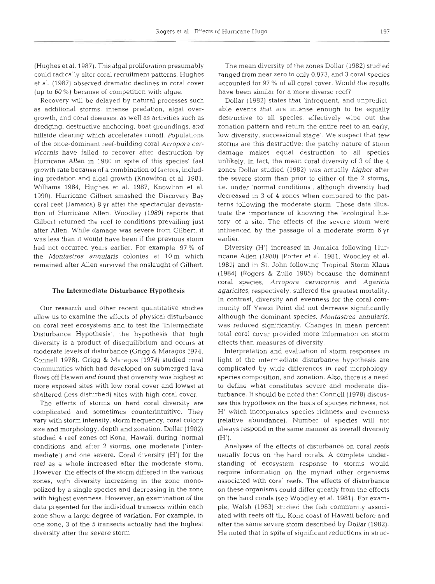(Hughes et al. 1987). This algal proliferation presumably could radically alter coral recruitment patterns. Hughes et al. (1987) observed dramatic declines in coral cover (up to  $60\%$ ) because of competition with algae.

Recovery will be delayed by natural processes such as additional storms, intense predation, algal overgrowth, and coral diseases, as well as activities such as dredging, destructive anchoring, boat groundings, and hillside clearing which accelerates runoff. Populations of the once-dominant reef-building coral Acropora cervicornis have failed to recover after destruction by Hurricane Allen in 1980 in spite of this species' fast growth rate because of a combination of factors, including predation and algal growth (Knowlton et al. 1981, Williams 1984, Hughes et al. 1987, Knowlton et al. 1990). Hurricane Gilbert smashed the Discovery Bay coral reef (Jamaica) 8 yr after the spectacular devastation of Hurricane Allen. Woodley (1989) reports that Gilbert returned the reef to conditions prevailing just after Allen. While damage was severe from Gilbert, it was less than it would have been if the previous storm had not occurred years earlier. For example, 97 % of the *Montastrea annularis* colonies at 10 m which remained after Allen survived the onslaught of Gilbert.

### The Intermediate Disturbance Hypothesis

Our research and other recent quantitative studies allow us to examine the effects of physical disturbance on coral reef ecosystems and to test the 'Intermediate Disturbance Hypothesis', the hypothesis that high diversity is a product of disequilibrium and occurs at moderate levels of disturbance (Grigg & Maragos 1974, Connell 1978). Grigg & Maragos (1974) studied coral communities which had developed on submerged lava flows off Hawaii and found that diversity was highest at more exposed sites with low coral cover and lowest at sheltered (less disturbed) sites with high coral cover.

The effects of storms on hard coral diversity are complicated and sometimes counterintuitive. They vary with storm intensity, storm frequency, coral colony size and morphology, depth and zonation. Dollar (1982) studied 4 reef zones off Kona, Hawaii, during 'normal conditions' and after 2 storms, one moderate ('intermediate') and one severe. Coral diversity (H') for the reef as a whole increased after the moderate storm. However, the effects of the storm differed in the various zones, with diversity increasing in the zone monopolized by a single species and decreasing in the zone with highest evenness. However, an examination of the data presented for the individual transects within each zone show a large degree of variation. For example, in one zone, 3 of the 5 transects actually had the highest diversity after the severe storm.

The mean diversity of the zones Dollar (1982) studied ranged from near zero to only 0.973, and 3 coral species accounted for 97 % of all coral cover. Would the results have been similar for a more diverse reef?

Dollar (1982) states that 'infrequent, and unpredictable events that are intense enough to be equally destructive to all species, effectively wipe out the zonation pattern and return the entire reef to an early, low diversity, successional stage'. We suspect that few storms are this destructive; the patchy nature of storm damage makes equal destruction to all species unlikely. In fact, the mean coral diversity of 3 of the 4 zones Dollar studied (1982) was actually higher after the severe storm than prior to either of the 2 storms, i.e. under 'normal conditions', although diversity had decreased in **3** of 4 zones when compared to the patterns following the moderate storm. These data illustrate the importance of knowing the 'ecological history' of a site. The effects of the severe storm were influenced by the passage of a moderate storm 6 yr earlier.

Diversity (H') increased in Jamaica following Hurricane Allen (1980) (Porter et al. 1981, Woodley et al. 1981) and in St. John following Tropical Storm Klaus (1984) (Rogers & Zullo 1985) because the dominant coral species, Acropora cervicornis and Agaricia agaricites, respectively, suffered the greatest mortality. In contrast, diversity and evenness for the coral community off Yawzi Point did not decrease significantly although the dominant species, Montastrea annularis, was reduced significantly. Changes in mean percent total coral cover provided more information on storm effects than measures of diversity.

Interpretation and evaluation of storm responses in light of the intermediate disturbance hypothesis are complicated by wide differences in reef morphology, species composition, and zonation. Also, there is a need to define what constitutes severe and moderate disturbance. It should be noted that Connell (1978) discusses this hypothesis on the basis of species richness, not H' which incorporates species richness and evenness (relative abundance). Number of species will not always respond in the same manner as overall diversity  $(H')$ .

Analyses of the effects of disturbance on coral reefs usually focus on the hard corals. A complete understanding of ecosystem response to storms would require information on the myriad other organisms associated with coral reefs. The effects of disturbance on these organisms could differ greatly from the effects on the hard corals (see Woodley et al. 1981). For example, Walsh (1983) studied the fish community associated with reefs off the Kona coast of Hawaii before and after the same severe storm described by Dollar (1982). He noted that in spite of significant reductions in struc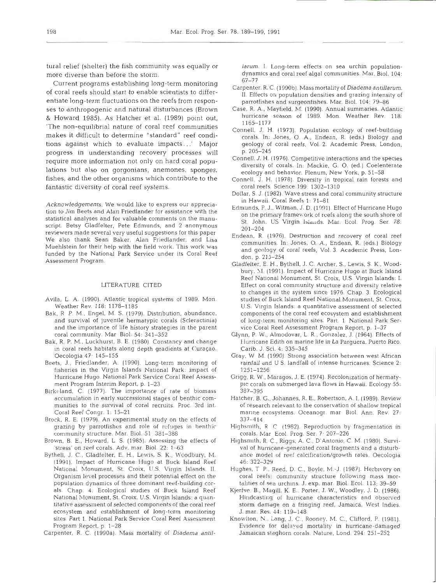tural relief (shelter) the fish community was equally or more diverse than before the storm.

Current programs establishing long-term monitoring Carpenter, R.C. (1990b). Mass mortality of Diadema antillarum. of coral reefs should start to enable scientists to differentiate long-term fluctuations on the reefs from responses to anthropogenic and natural disturbances (Brown Case, R. A., Mayfield, M. (1990). Annual summaries. Atlantic & Howard 1985). As Hatcher et al. (1989) point out, The non-equilibrial nature of coral reef communities connell, J. H. (1973). Population ecology of reef-building makes it difficult to determine "standard" reef conditions against which to evaluate impacts...' Major progress in understanding recovery processes will b. 205–245<br>Connell, J. H. (1976). Competitive interactions and the species require more information not only on hard coral populations but also on gorgonians, anemones, sponges, fishes, and the other organisms which contribute to the Connell, J. H. (1978). Diversity in tropical rain forests and fantastic diversity of coral reef systems.

Acknowledgements. We would like to express our apprecia-<br>time to the Data and Alam Friedly and the continues with the Edmunds, P. J., Witman, J. D. (1991). Effect of Hurricane Hugo tion to Jim Beets and Alan Friedlander for assistance with the statistical analyses and for valuable comments on the manuscript. Betsy Gladfelter, Pete Edmunds, and 2 anonymous reviewers made several very useful suggestions for this paper<br>We also thereby Seem Pelaxy Alay Friedlander, and Line Holden, R. (1976). Destruction and recovery of coral reef We also thank Sean Baker, Alan Friedlander, and Lisa Muehlstein for their help with the field work. This work was funded by the National Park Service under its Coral Reef Assessment Program.

### LITERATURE CITED

- Avila, L. A. (1990). Atlantic tropical systems of 1989. Mon. Weather Rev. 118: 1178-1185
- Bak, R. P. M., Engel, M. S. (1979). Distribution, abundance, and survival of juvenile hermatypic corals (Scleractinia) and the importance of life history strategies in the parent coral community. Mar Biol. 54: 341-352
- Bak, R. P. M., Luckhurst, B. E (1980). Constancy and change in coral reefs habitats along depth gradients at Curaqao. Oecologia 47. 145-155
- Beets, J., Friedlander, A. (1990). Long-term monitoring of fisheries in the Virgin Islands National Park: impact of Hurricane Hugo. National Park Service Coral Reef Assess- Grigg, R. W., Maragos, J. E. (1974). Recolonization of hermatyment Program Interim Report, p. 1-23
- Birkeland, C. (1977). The importance of rate of biomass accumulation in early successional stages of benthic com-<br>Hatcher, B. G., Johannes, R. E., Robertson, A. I. (1989). Review munities to the survival of coral recruits. Proc. 3rd int. Coral Reef Congr. 1: 15-21
- Brock, R. E. (1979). An experimental study on the effects of grazing by parrotfishes and role of refuges in benthic  $\qquad$  Higbsmith, R C (1982). Reproduction by fragmentation in community structure. Mar. Biol. 51 381-388
- Brown, B. E., Howard, L. S. (1985). Assessing the effects of Highsmith, R. C., Riggs, A. C., D'Antonio, C. M. (1980). Survi-'stress' on reef corals. Adv. mar. Biol. 22: 1-63
- Bythell, J. C., Gladfelter, E. H., Lewis, S. K.. Woodbury, M. (1991). Impact of Hurricane Hugo at Buck Island Reef National Monument, St. Croix, U.S. Virgin Islands. II. Hughes, T P., Reed, D. C., Boyle, M.-J. (1987). Herbivory on Organism level processes and their potential effect on the population dynamics of three dominant reef-building corals. Chap. 4. Ecological studies of Buck Island Reef Kjerfve, B., Magill, K. E., Porter, J. W., Woodley, J. D. (1986). National Monument, St. Croix, U.S. Virgin Islands: a quantitative assessment of selected components of the coral reef ecosystem and establishment of long-term monitoring sites. Part 1. National Park Service Coral Reef Assessment Knowlton, N., Lang, J. C., Rooney, M. C., Clifford, P. (1981). Program Report, p. 1-28
- Carpenter, R. C. (1990a). Mass mortality of Diadema antil-

- 
- 
- 
- 
- 
- 
- 
- rum. I. Long-term effects on sea urchin population-<br>
rum. I. Long-term effects on sea urchin population-<br>
ramer. R. C. (1990b). Mass mortality of *Diadema antillarum.*<br>
Effects on population densities and grazing intensit
- 1.71 (1991). Impact of Hurricane Hugo at Buck Island<br>
eref National Monument, St. Croix, U.S. Virgin Islands: I.<br>
ffect on coral community structure and diversity relative<br>
ffect on coral community structure and diversity
- 
- 
- 
- 
- 
- 
- 
- 
-